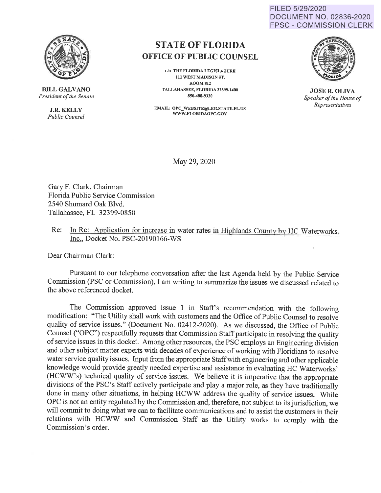FILED 5/29/2020 DOCUMENT NO. 02836-2020 FPSC - COMMISSION CLERK



**BILL GALVANO**  *President of the Senate* 

> **J.R.KELLY**  *Public Counsel*

## STATE OF FLORIDA OFFICE OF PUBLIC COUNSEL

c/o THE FLORIDA LEGISLATURE 111 WEST MADISON ST. ROOM812 TALLAHASSEE, FLORIDA 32399-1400 850-488-9330

**EMAIL: OPC\_ WEBSITE@LEG.STATE.FL.US WWW.FLORIDAOPC.GOV** 



**,JOSE R. OLIVA**  *Speaker of the House of Representatives* 

May 29, 2020

Gary F. Clark, Chairman Florida Public Service Commission 2540 Shumard Oak Blvd. Tallahassee, FL 32399-0850

Re: In Re: Application for increase in water rates in Highlands County by HC Waterworks, Inc., Docket No. PSC-20190166-WS

Dear Chairman Clark:

Pursuant to our telephone conversation after the last Agenda held by the Public Service Commission (PSC or Commission), I am writing to summarize the issues we discussed related to the above referenced docket.

The Commission approved Issue 1 in Staff's recommendation with the following modification: "The Utility shall work with customers and the Office of Public Counsel to resolve quality of service issues." (Document No. 02412-2020). As we discussed, the Office of Public Counsel ("OPC") respectfully requests that Commission Staff participate in resolving the quality of service issues in this docket. Among other resources, the PSC employs an Engineering division and other subject matter experts with decades of experience of working with Floridians to resolve water service quality issues. Input from the appropriate Staff with engineering and other applicable knowledge would provide greatly needed expertise and assistance in evaluating HC Waterworks' (HCWW's) technical quality of service issues. We believe it is imperative that the appropriate divisions of the PSC's Staff actively participate and play a major role, as they have traditionally done in many other situations, in helping HCWW address the quality of service issues. While OPC is not an entity regulated by the Commission and, therefore, not subject to its jurisdiction, we will commit to doing what we can to facilitate communications and to assist the customers in their relations with HCWW and Commission Staff as the Utility works to comply with the Commission's order.